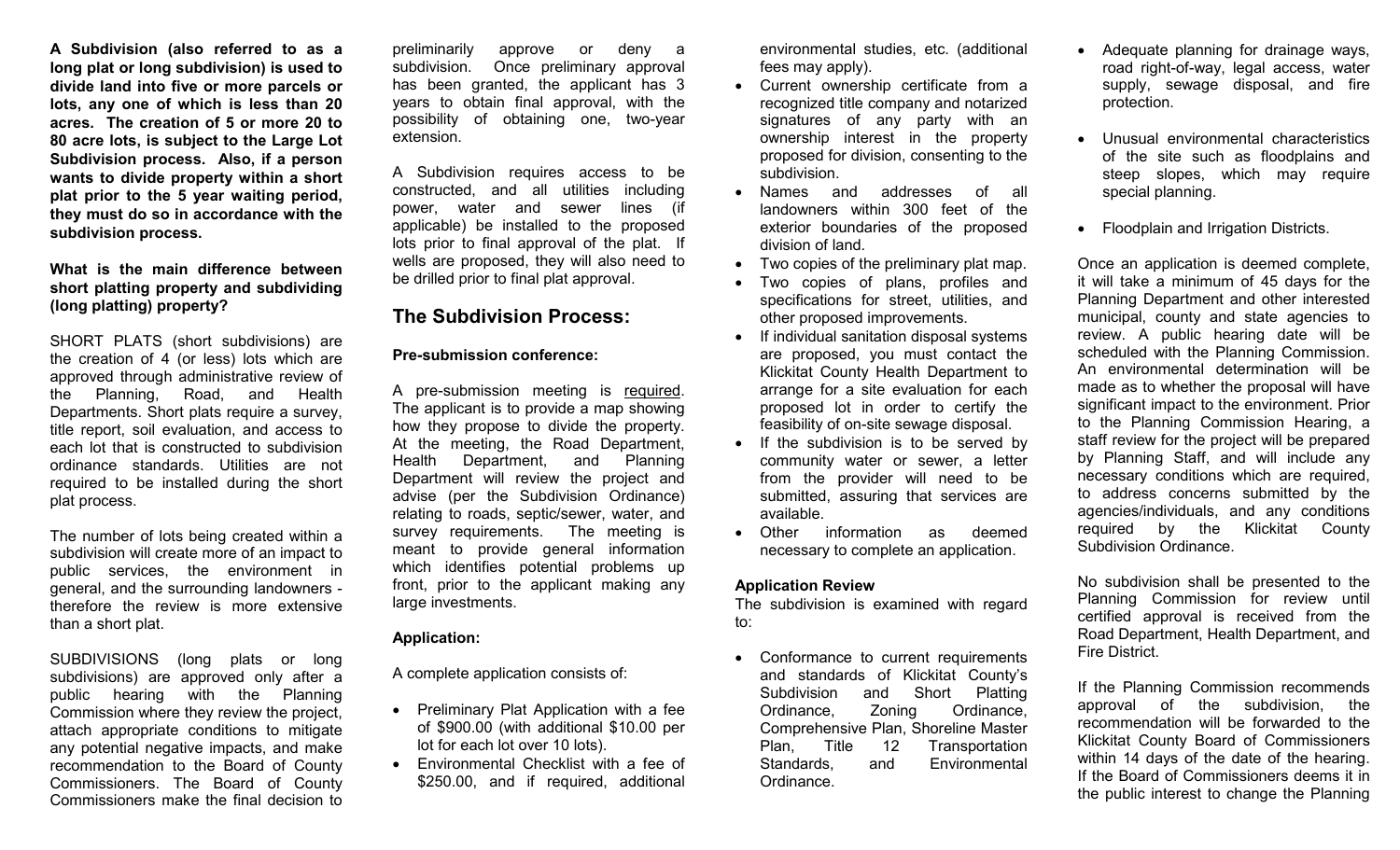**A Subdivision (also referred to as a long plat or long subdivision) is used to divide land into five or more parcels or lots, any one of which is less than 20 acres. The creation of 5 or more 20 to 80 acre lots, is subject to the Large Lot Subdivision process. Also, if a person wants to divide property within a short plat prior to the 5 year waiting period, they must do so in accordance with the subdivision process.**

### **What is the main difference between short platting property and subdividing (long platting) property?**

SHORT PLATS (short subdivisions) are the creation of 4 (or less) lots which are approved through administrative review of the Planning, Road, and Health Departments. Short plats require a survey, title report, soil evaluation, and access to each lot that is constructed to subdivision ordinance standards. Utilities are not required to be installed during the short plat process.

The number of lots being created within a subdivision will create more of an impact to public services, the environment in general, and the surrounding landowners therefore the review is more extensive than a short plat.

SUBDIVISIONS (long plats or long subdivisions) are approved only after a public hearing with the Planning Commission where they review the project, attach appropriate conditions to mitigate any potential negative impacts, and make recommendation to the Board of County Commissioners. The Board of County Commissioners make the final decision to

preliminarily approve or deny a subdivision. Once preliminary approval has been granted, the applicant has 3 years to obtain final approval, with the possibility of obtaining one, two-year extension.

A Subdivision requires access to be constructed, and all utilities including power, water and sewer lines (if applicable) be installed to the proposed lots prior to final approval of the plat. If wells are proposed, they will also need to be drilled prior to final plat approval.

## **The Subdivision Process:**

#### **Pre-submission conference:**

A pre-submission meeting is required. The applicant is to provide a map showing how they propose to divide the property. At the meeting, the Road Department, Health Department, and Planning Department will review the project and advise (per the Subdivision Ordinance) relating to roads, septic/sewer, water, and survey requirements. The meeting is meant to provide general information which identifies potential problems up front, prior to the applicant making any large investments.

#### **Application:**

A complete application consists of:

- Preliminary Plat Application with a fee of \$900.00 (with additional \$10.00 per lot for each lot over 10 lots).
- Environmental Checklist with a fee of \$250.00, and if required, additional

environmental studies, etc. (additional fees may apply).

- Current ownership certificate from a recognized title company and notarized signatures of any party with an ownership interest in the property proposed for division, consenting to the subdivision.
- Names and addresses of all landowners within 300 feet of the exterior boundaries of the proposed division of land.
- Two copies of the preliminary plat map.
- Two copies of plans, profiles and specifications for street, utilities, and other proposed improvements.
- If individual sanitation disposal systems are proposed, you must contact the Klickitat County Health Department to arrange for a site evaluation for each proposed lot in order to certify the feasibility of on-site sewage disposal.
- If the subdivision is to be served by community water or sewer, a letter from the provider will need to be submitted, assuring that services are available.
- Other information as deemed necessary to complete an application.

## **Application Review**

The subdivision is examined with regard to:

• Conformance to current requirements and standards of Klickitat County's Subdivision and Short Platting Ordinance, Zoning Ordinance, Comprehensive Plan, Shoreline Master Plan, Title 12 Transportation Standards, and Environmental Ordinance.

- Adequate planning for drainage ways, road right-of-way, legal access, water supply, sewage disposal, and fire protection.
- Unusual environmental characteristics of the site such as floodplains and steep slopes, which may require special planning.
- Floodplain and Irrigation Districts.

Once an application is deemed complete, it will take a minimum of 45 days for the Planning Department and other interested municipal, county and state agencies to review. A public hearing date will be scheduled with the Planning Commission. An environmental determination will be made as to whether the proposal will have significant impact to the environment. Prior to the Planning Commission Hearing, a staff review for the project will be prepared by Planning Staff, and will include any necessary conditions which are required, to address concerns submitted by the agencies/individuals, and any conditions required by the Klickitat County Subdivision Ordinance.

No subdivision shall be presented to the Planning Commission for review until certified approval is received from the Road Department, Health Department, and Fire District.

If the Planning Commission recommends approval of the subdivision, the recommendation will be forwarded to the Klickitat County Board of Commissioners within 14 days of the date of the hearing. If the Board of Commissioners deems it in the public interest to change the Planning